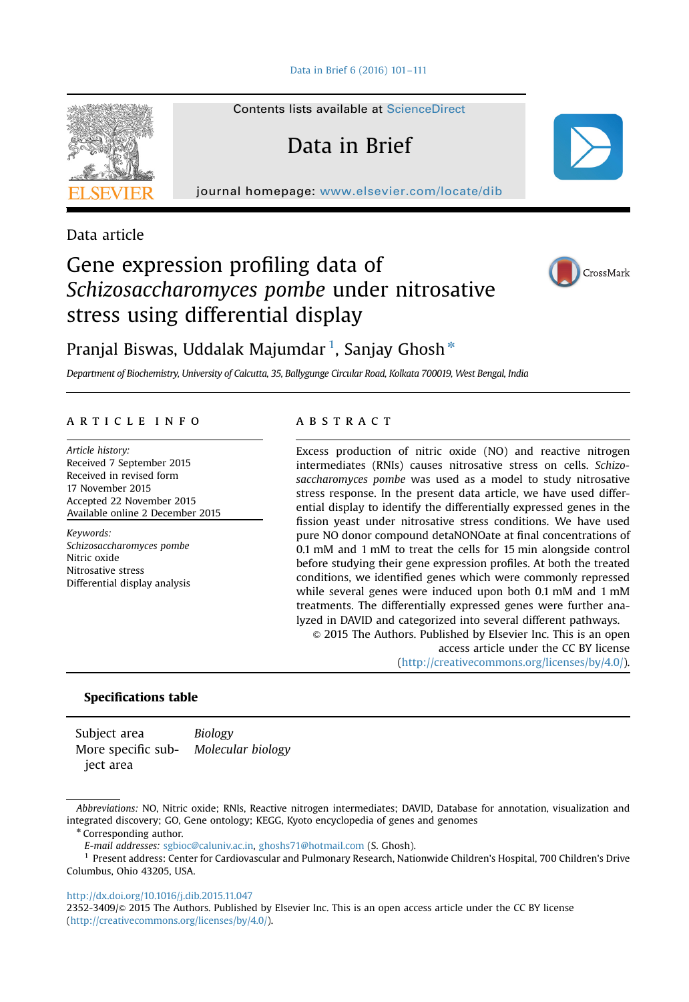[Data in Brief 6 \(2016\) 101](http://dx.doi.org/10.1016/j.dib.2015.11.047)–111

Contents lists available at [ScienceDirect](www.sciencedirect.com/science/journal/23523409)

Data in Brief

journal homepage: <www.elsevier.com/locate/dib>



Data article

# Gene expression profiling data of Schizosaccharomyces pombe under nitrosative stress using differential display



Pranjal Biswas, Uddalak Majumdar  $^1$ , Sanjay Ghosh $^\ast$ 

Department of Biochemistry, University of Calcutta, 35, Ballygunge Circular Road, Kolkata 700019, West Bengal, India

# article info

Article history: Received 7 September 2015 Received in revised form 17 November 2015 Accepted 22 November 2015 Available online 2 December 2015

Keywords: Schizosaccharomyces pombe Nitric oxide Nitrosative stress Differential display analysis

# **ABSTRACT**

Excess production of nitric oxide (NO) and reactive nitrogen intermediates (RNIs) causes nitrosative stress on cells. Schizosaccharomyces pombe was used as a model to study nitrosative stress response. In the present data article, we have used differential display to identify the differentially expressed genes in the fission yeast under nitrosative stress conditions. We have used pure NO donor compound detaNONOate at final concentrations of 0.1 mM and 1 mM to treat the cells for 15 min alongside control before studying their gene expression profiles. At both the treated conditions, we identified genes which were commonly repressed while several genes were induced upon both 0.1 mM and 1 mM treatments. The differentially expressed genes were further analyzed in DAVID and categorized into several different pathways.

 $\odot$  2015 The Authors. Published by Elsevier Inc. This is an open access article under the CC BY license (http://creativecommons.org/licenses/by/4.0/).

# Specifications table

Subject area Biology More specific subject area Molecular biology

\* Corresponding author.

E-mail addresses: [sgbioc@caluniv.ac.in](mailto:sgbioc@caluniv.ac.in), [ghoshs71@hotmail.com](mailto:ghoshs71@hotmail.com) (S. Ghosh).

<sup>1</sup> Present address: Center for Cardiovascular and Pulmonary Research, Nationwide Children's Hospital, 700 Children's Drive Columbus, Ohio 43205, USA.

#### <http://dx.doi.org/10.1016/j.dib.2015.11.047>

2352-3409/& 2015 The Authors. Published by Elsevier Inc. This is an open access article under the CC BY license (http://creativecommons.org/licenses/by/4.0/).

Abbreviations: NO, Nitric oxide; RNIs, Reactive nitrogen intermediates; DAVID, Database for annotation, visualization and integrated discovery; GO, Gene ontology; KEGG, Kyoto encyclopedia of genes and genomes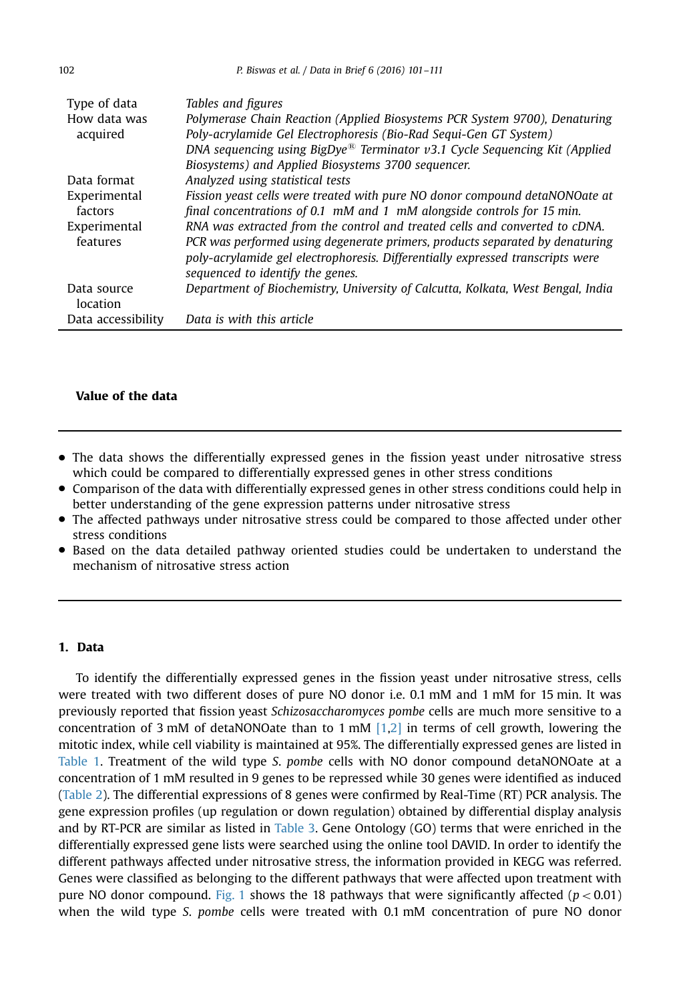| Type of data<br>How data was<br>acquired | Tables and figures<br>Polymerase Chain Reaction (Applied Biosystems PCR System 9700), Denaturing<br>Poly-acrylamide Gel Electrophoresis (Bio-Rad Sequi-Gen GT System)<br>DNA sequencing using BigDye <sup>®</sup> Terminator $v3.1$ Cycle Sequencing Kit (Applied<br>Biosystems) and Applied Biosystems 3700 sequencer. |
|------------------------------------------|-------------------------------------------------------------------------------------------------------------------------------------------------------------------------------------------------------------------------------------------------------------------------------------------------------------------------|
| Data format                              | Analyzed using statistical tests                                                                                                                                                                                                                                                                                        |
| Experimental<br>factors                  | Fission yeast cells were treated with pure NO donor compound detaNONOate at<br>final concentrations of 0.1 $mM$ and 1 $mM$ alongside controls for 15 min.                                                                                                                                                               |
| Experimental<br>features                 | RNA was extracted from the control and treated cells and converted to cDNA.<br>PCR was performed using degenerate primers, products separated by denaturing<br>poly-acrylamide gel electrophoresis. Differentially expressed transcripts were<br>sequenced to identify the genes.                                       |
| Data source<br>location                  | Department of Biochemistry, University of Calcutta, Kolkata, West Bengal, India                                                                                                                                                                                                                                         |
| Data accessibility                       | Data is with this article                                                                                                                                                                                                                                                                                               |

# Value of the data

- The data shows the differentially expressed genes in the fission yeast under nitrosative stress which could be compared to differentially expressed genes in other stress conditions
- Comparison of the data with differentially expressed genes in other stress conditions could help in better understanding of the gene expression patterns under nitrosative stress
- The affected pathways under nitrosative stress could be compared to those affected under other stress conditions
- Based on the data detailed pathway oriented studies could be undertaken to understand the mechanism of nitrosative stress action

## 1. Data

To identify the differentially expressed genes in the fission yeast under nitrosative stress, cells were treated with two different doses of pure NO donor i.e. 0.1 mM and 1 mM for 15 min. It was previously reported that fission yeast Schizosaccharomyces pombe cells are much more sensitive to a concentration of 3 mM of detaNONOate than to 1 mM  $[1,2]$  in terms of cell growth, lowering the mitotic index, while cell viability is maintained at 95%. The differentially expressed genes are listed in [Table 1](#page-2-0). Treatment of the wild type S. pombe cells with NO donor compound detaNONOate at a concentration of 1 mM resulted in 9 genes to be repressed while 30 genes were identified as induced ([Table 2\)](#page-3-0). The differential expressions of 8 genes were confirmed by Real-Time (RT) PCR analysis. The gene expression profiles (up regulation or down regulation) obtained by differential display analysis and by RT-PCR are similar as listed in [Table 3](#page-4-0). Gene Ontology (GO) terms that were enriched in the differentially expressed gene lists were searched using the online tool DAVID. In order to identify the different pathways affected under nitrosative stress, the information provided in KEGG was referred. Genes were classified as belonging to the different pathways that were affected upon treatment with pure NO donor compound. [Fig. 1](#page-4-0) shows the 18 pathways that were significantly affected ( $p < 0.01$ ) when the wild type S. pombe cells were treated with 0.1 mM concentration of pure NO donor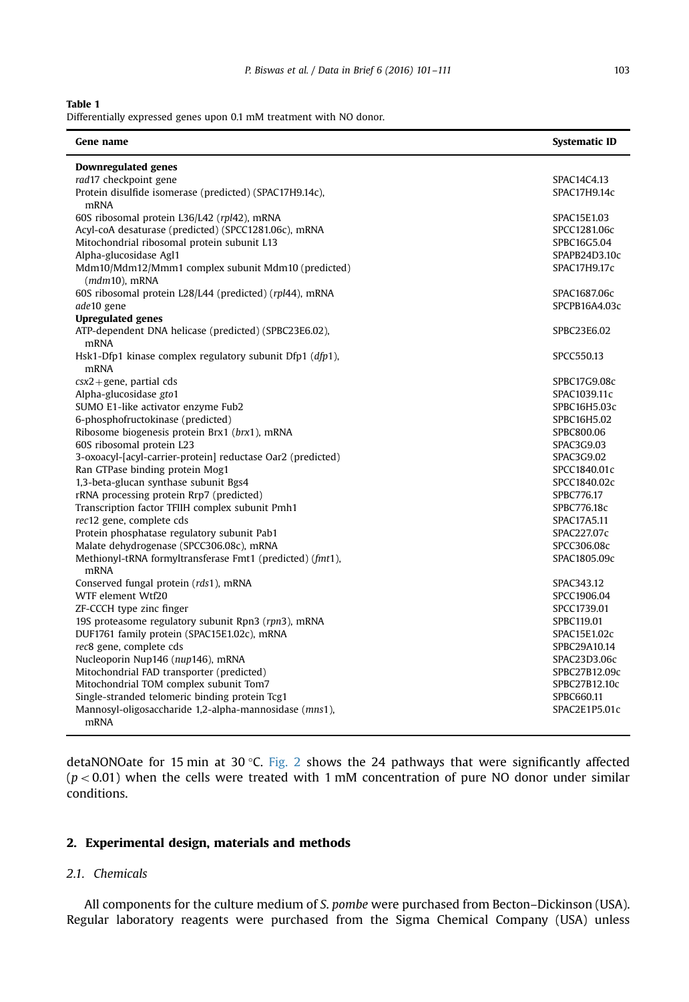#### <span id="page-2-0"></span>Table 1

Differentially expressed genes upon 0.1 mM treatment with NO donor.

| Gene name                                                                         | <b>Systematic ID</b>       |
|-----------------------------------------------------------------------------------|----------------------------|
| <b>Downregulated genes</b>                                                        |                            |
| rad17 checkpoint gene                                                             | SPAC14C4.13                |
| Protein disulfide isomerase (predicted) (SPAC17H9.14c),<br>mRNA                   | SPAC17H9.14c               |
| 60S ribosomal protein L36/L42 (rpl42), mRNA                                       | SPAC15E1.03                |
| Acyl-coA desaturase (predicted) (SPCC1281.06c), mRNA                              | SPCC1281.06c               |
| Mitochondrial ribosomal protein subunit L13                                       | SPBC16G5.04                |
| Alpha-glucosidase Agl1                                                            | SPAPB24D3.10c              |
| Mdm10/Mdm12/Mmm1 complex subunit Mdm10 (predicted)<br>$(mdm10)$ , mRNA            | SPAC17H9.17c               |
| 60S ribosomal protein L28/L44 (predicted) (rpl44), mRNA                           | SPAC1687.06c               |
| ade10 gene                                                                        | SPCPB16A4.03c              |
| <b>Upregulated genes</b>                                                          |                            |
| ATP-dependent DNA helicase (predicted) (SPBC23E6.02),<br><b>mRNA</b>              | SPBC23E6.02                |
| Hsk1-Dfp1 kinase complex regulatory subunit Dfp1 $(dfp1)$ ,<br><b>mRNA</b>        | SPCC550.13                 |
| $\text{cx2} + \text{gene}$ , partial cds                                          | SPBC17G9.08c               |
| Alpha-glucosidase gto1                                                            | SPAC1039.11c               |
| SUMO E1-like activator enzyme Fub2                                                | SPBC16H5.03c               |
| 6-phosphofructokinase (predicted)                                                 | SPBC16H5.02                |
| Ribosome biogenesis protein Brx1 (brx1), mRNA                                     | SPBC800.06                 |
| 60S ribosomal protein L23                                                         | SPAC3G9.03                 |
| 3-oxoacyl-[acyl-carrier-protein] reductase Oar2 (predicted)                       | SPAC3G9.02                 |
| Ran GTPase binding protein Mog1                                                   | SPCC1840.01c               |
| 1,3-beta-glucan synthase subunit Bgs4<br>rRNA processing protein Rrp7 (predicted) | SPCC1840.02c<br>SPBC776.17 |
| Transcription factor TFIIH complex subunit Pmh1                                   | SPBC776.18c                |
| rec12 gene, complete cds                                                          | SPAC17A5.11                |
| Protein phosphatase regulatory subunit Pab1                                       | SPAC227.07c                |
| Malate dehydrogenase (SPCC306.08c), mRNA                                          | SPCC306.08c                |
| Methionyl-tRNA formyltransferase Fmt1 (predicted) (fmt1),                         | SPAC1805.09c               |
| <b>mRNA</b><br>Conserved fungal protein (rds1), mRNA                              | SPAC343.12                 |
| WTF element Wtf20                                                                 | SPCC1906.04                |
| ZF-CCCH type zinc finger                                                          | SPCC1739.01                |
| 19S proteasome regulatory subunit Rpn3 (rpn3), mRNA                               | SPBC119.01                 |
| DUF1761 family protein (SPAC15E1.02c), mRNA                                       | SPAC15E1.02c               |
| rec8 gene, complete cds                                                           | SPBC29A10.14               |
| Nucleoporin Nup146 (nup146), mRNA                                                 | SPAC23D3.06c               |
| Mitochondrial FAD transporter (predicted)                                         | SPBC27B12.09c              |
| Mitochondrial TOM complex subunit Tom7                                            | SPBC27B12.10c              |
| Single-stranded telomeric binding protein Tcg1                                    | SPBC660.11                 |
| Mannosyl-oligosaccharide 1,2-alpha-mannosidase (mns1),<br><b>mRNA</b>             | SPAC2E1P5.01c              |

detaNONOate for 15 min at 30 °C. [Fig. 2](#page-5-0) shows the 24 pathways that were significantly affected  $(p<0.01)$  when the cells were treated with 1 mM concentration of pure NO donor under similar conditions.

# 2. Experimental design, materials and methods

# 2.1. Chemicals

All components for the culture medium of S. pombe were purchased from Becton–Dickinson (USA). Regular laboratory reagents were purchased from the Sigma Chemical Company (USA) unless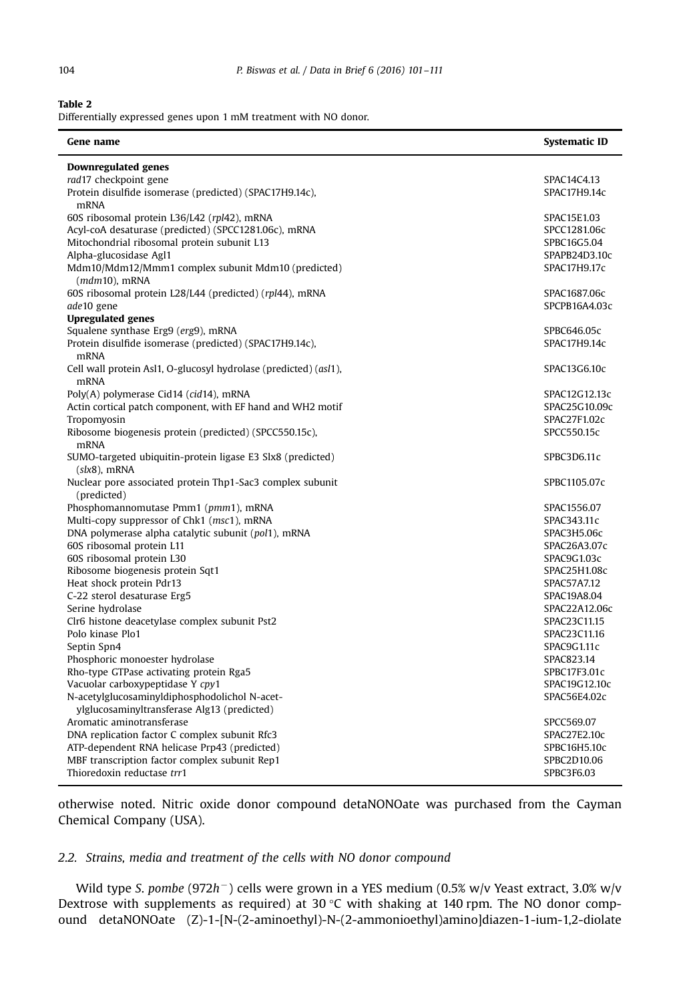$\overline{a}$ 

 $\overline{a}$ 

## <span id="page-3-0"></span>Table 2

Differentially expressed genes upon 1 mM treatment with NO donor.

| Gene name                                                                       | <b>Systematic ID</b>        |
|---------------------------------------------------------------------------------|-----------------------------|
| <b>Downregulated genes</b>                                                      |                             |
| rad17 checkpoint gene                                                           | SPAC14C4.13                 |
| Protein disulfide isomerase (predicted) (SPAC17H9.14c),<br>mRNA                 | SPAC17H9.14c                |
| 60S ribosomal protein L36/L42 (rpl42), mRNA                                     | SPAC15E1.03                 |
| Acyl-coA desaturase (predicted) (SPCC1281.06c), mRNA                            | SPCC1281.06c                |
| Mitochondrial ribosomal protein subunit L13                                     | SPBC16G5.04                 |
| Alpha-glucosidase Agl1                                                          | SPAPB24D3.10c               |
| Mdm10/Mdm12/Mmm1 complex subunit Mdm10 (predicted)                              | SPAC17H9.17c                |
| $(mdm10)$ , mRNA                                                                |                             |
| 60S ribosomal protein L28/L44 (predicted) (rpl44), mRNA                         | SPAC1687.06c                |
| ade10 gene                                                                      | SPCPB16A4.03c               |
| <b>Upregulated genes</b>                                                        |                             |
| Squalene synthase Erg9 (erg9), mRNA                                             | SPBC646.05c                 |
| Protein disulfide isomerase (predicted) (SPAC17H9.14c),<br>mRNA                 | SPAC17H9.14c                |
| Cell wall protein Asl1, O-glucosyl hydrolase (predicted) (asl1),<br><b>mRNA</b> | SPAC13G6.10c                |
| Poly(A) polymerase Cid14 (cid14), mRNA                                          | SPAC12G12.13c               |
| Actin cortical patch component, with EF hand and WH2 motif                      | SPAC25G10.09c               |
| Tropomyosin                                                                     | SPAC27F1.02c                |
| Ribosome biogenesis protein (predicted) (SPCC550.15c),                          | SPCC550.15c                 |
| <b>mRNA</b>                                                                     |                             |
| SUMO-targeted ubiquitin-protein ligase E3 Slx8 (predicted)                      | SPBC3D6.11c                 |
| $(slx8)$ , mRNA                                                                 |                             |
| Nuclear pore associated protein Thp1-Sac3 complex subunit                       | SPBC1105.07c                |
| (predicted)                                                                     |                             |
| Phosphomannomutase Pmm1 (pmm1), mRNA                                            | SPAC1556.07                 |
| Multi-copy suppressor of Chk1 (msc1), mRNA                                      | SPAC343.11c                 |
| DNA polymerase alpha catalytic subunit (pol1), mRNA                             | SPAC3H5.06c                 |
| 60S ribosomal protein L11                                                       | SPAC26A3.07c                |
| 60S ribosomal protein L30                                                       | SPAC9G1.03c                 |
| Ribosome biogenesis protein Sqt1<br>Heat shock protein Pdr13                    | SPAC25H1.08c<br>SPAC57A7.12 |
| C-22 sterol desaturase Erg5                                                     | SPAC19A8.04                 |
| Serine hydrolase                                                                | SPAC22A12.06c               |
| Clr6 histone deacetylase complex subunit Pst2                                   | SPAC23C11.15                |
| Polo kinase Plo1                                                                | SPAC23C11.16                |
| Septin Spn4                                                                     | SPAC9G1.11c                 |
| Phosphoric monoester hydrolase                                                  | SPAC823.14                  |
| Rho-type GTPase activating protein Rga5                                         | SPBC17F3.01c                |
| Vacuolar carboxypeptidase Y cpy1                                                | SPAC19G12.10c               |
| N-acetylglucosaminyldiphosphodolichol N-acet-                                   | SPAC56E4.02c                |
| ylglucosaminyltransferase Alg13 (predicted)                                     |                             |
| Aromatic aminotransferase                                                       | SPCC569.07                  |
| DNA replication factor C complex subunit Rfc3                                   | SPAC27E2.10c                |
| ATP-dependent RNA helicase Prp43 (predicted)                                    | SPBC16H5.10c                |
| MBF transcription factor complex subunit Rep1                                   | SPBC2D10.06                 |
| Thioredoxin reductase trr1                                                      | SPBC3F6.03                  |

otherwise noted. Nitric oxide donor compound detaNONOate was purchased from the Cayman Chemical Company (USA).

# 2.2. Strains, media and treatment of the cells with NO donor compound

Wild type S. pombe (972h<sup>-</sup>) cells were grown in a YES medium (0.5% w/v Yeast extract, 3.0% w/v Dextrose with supplements as required) at 30  $\degree$ C with shaking at 140 rpm. The NO donor compound detaNONOate (Z)-1-[N-(2-aminoethyl)-N-(2-ammonioethyl)amino]diazen-1-ium-1,2-diolate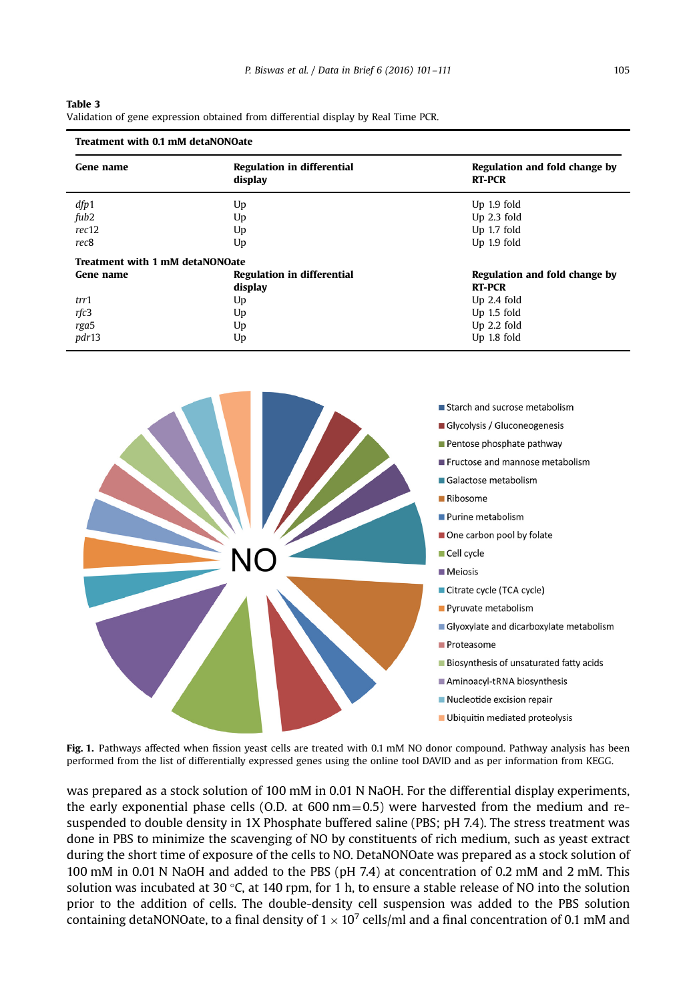| I | ı |
|---|---|

<span id="page-4-0"></span>

| Table 3                                                                            |  |
|------------------------------------------------------------------------------------|--|
| Validation of gene expression obtained from differential display by Real Time PCR. |  |

| Treatment with 0.1 mM detaNONOate      |                                              |                                                |  |
|----------------------------------------|----------------------------------------------|------------------------------------------------|--|
| Gene name                              | <b>Regulation in differential</b><br>display | Regulation and fold change by<br><b>RT-PCR</b> |  |
| dfp1                                   | Up                                           | Up 1.9 fold                                    |  |
| fub2                                   | Up                                           | $Up$ 2.3 fold                                  |  |
| rec12                                  | Up                                           | Up 1.7 fold                                    |  |
| rec <sub>8</sub>                       | Up                                           | $Up$ 1.9 fold                                  |  |
| <b>Treatment with 1 mM detaNONOate</b> |                                              |                                                |  |
| Gene name                              | <b>Regulation in differential</b>            | Regulation and fold change by                  |  |
|                                        | display                                      | <b>RT-PCR</b>                                  |  |
| trr1                                   | Up                                           | $Up$ 2.4 fold                                  |  |
| rfc3                                   | Up                                           | $Up$ 1.5 fold                                  |  |
| rga5                                   | Up                                           | $Up$ 2.2 fold                                  |  |
| pdr13                                  | Up                                           | Up 1.8 fold                                    |  |



Fig. 1. Pathways affected when fission yeast cells are treated with 0.1 mM NO donor compound. Pathway analysis has been performed from the list of differentially expressed genes using the online tool DAVID and as per information from KEGG.

was prepared as a stock solution of 100 mM in 0.01 N NaOH. For the differential display experiments, the early exponential phase cells (O.D. at  $600 \text{ nm} = 0.5$ ) were harvested from the medium and resuspended to double density in 1X Phosphate buffered saline (PBS; pH 7.4). The stress treatment was done in PBS to minimize the scavenging of NO by constituents of rich medium, such as yeast extract during the short time of exposure of the cells to NO. DetaNONOate was prepared as a stock solution of 100 mM in 0.01 N NaOH and added to the PBS (pH 7.4) at concentration of 0.2 mM and 2 mM. This solution was incubated at 30 °C, at 140 rpm, for 1 h, to ensure a stable release of NO into the solution prior to the addition of cells. The double-density cell suspension was added to the PBS solution containing detaNONOate, to a final density of  $1 \times 10^7$  cells/ml and a final concentration of 0.1 mM and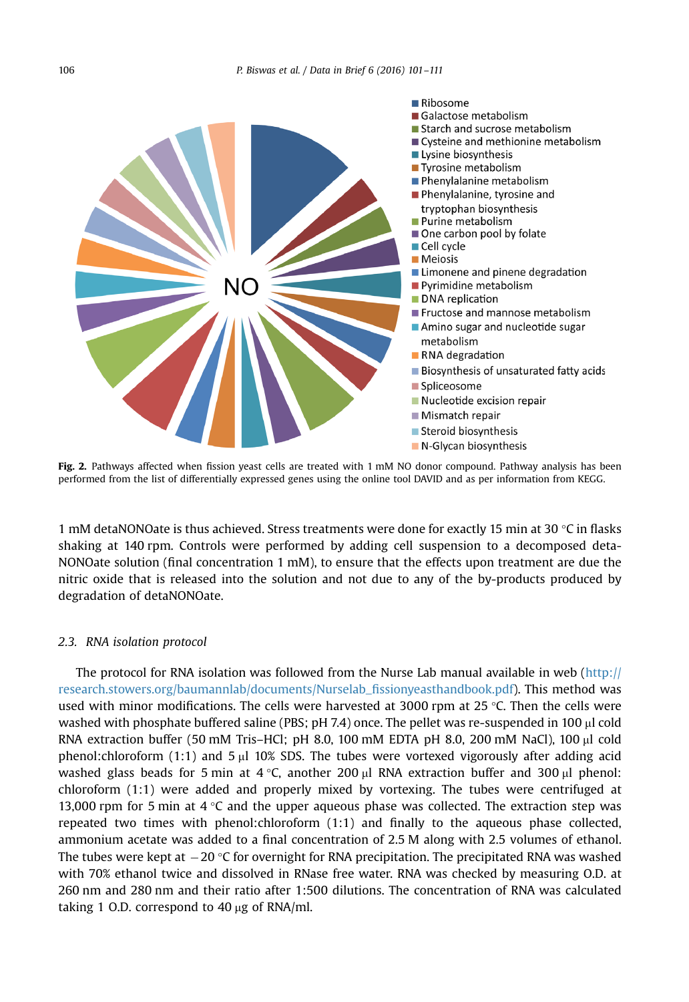<span id="page-5-0"></span>

Fig. 2. Pathways affected when fission yeast cells are treated with 1 mM NO donor compound. Pathway analysis has been performed from the list of differentially expressed genes using the online tool DAVID and as per information from KEGG.

1 mM detaNONOate is thus achieved. Stress treatments were done for exactly 15 min at 30  $\degree$ C in flasks shaking at 140 rpm. Controls were performed by adding cell suspension to a decomposed deta-NONOate solution (final concentration 1 mM), to ensure that the effects upon treatment are due the nitric oxide that is released into the solution and not due to any of the by-products produced by degradation of detaNONOate.

## 2.3. RNA isolation protocol

The protocol for RNA isolation was followed from the Nurse Lab manual available in web ([http://](http://www.research.stowers.org/baumannlab/documents/Nurselab_fissionyeasthandbook.pdf) [research.stowers.org/baumannlab/documents/Nurselab\\_](http://www.research.stowers.org/baumannlab/documents/Nurselab_fissionyeasthandbook.pdf)fissionyeasthandbook.pdf). This method was used with minor modifications. The cells were harvested at 3000 rpm at 25 °C. Then the cells were washed with phosphate buffered saline (PBS; pH 7.4) once. The pellet was re-suspended in 100  $\mu$ l cold RNA extraction buffer (50 mM Tris–HCl; pH 8.0, 100 mM EDTA pH 8.0, 200 mM NaCl), 100 µl cold phenol: chloroform  $(1:1)$  and  $5 \mu$  10% SDS. The tubes were vortexed vigorously after adding acid washed glass beads for 5 min at 4  $\degree$ C, another 200 µl RNA extraction buffer and 300 µl phenol: chloroform (1:1) were added and properly mixed by vortexing. The tubes were centrifuged at 13,000 rpm for 5 min at 4  $\degree$ C and the upper aqueous phase was collected. The extraction step was repeated two times with phenol:chloroform (1:1) and finally to the aqueous phase collected, ammonium acetate was added to a final concentration of 2.5 M along with 2.5 volumes of ethanol. The tubes were kept at  $-20$  °C for overnight for RNA precipitation. The precipitated RNA was washed with 70% ethanol twice and dissolved in RNase free water. RNA was checked by measuring O.D. at 260 nm and 280 nm and their ratio after 1:500 dilutions. The concentration of RNA was calculated taking 1 O.D. correspond to 40  $\mu$ g of RNA/ml.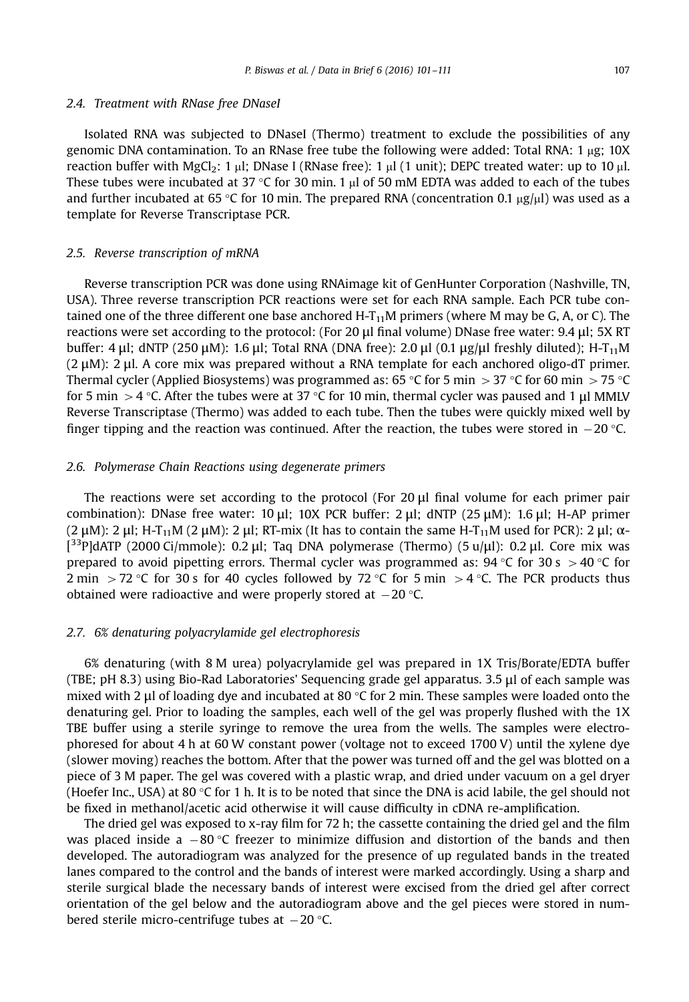#### 2.4. Treatment with RNase free DNaseI

Isolated RNA was subjected to DNaseI (Thermo) treatment to exclude the possibilities of any genomic DNA contamination. To an RNase free tube the following were added: Total RNA:  $1 \mu$ g: 10X reaction buffer with  $MgCl<sub>2</sub>$ : 1 ul; DNase I (RNase free): 1 ul (1 unit): DEPC treated water: up to 10 ul. These tubes were incubated at 37 °C for 30 min. 1  $\mu$ l of 50 mM EDTA was added to each of the tubes and further incubated at 65 °C for 10 min. The prepared RNA (concentration 0.1  $\mu$ g/ $\mu$ l) was used as a template for Reverse Transcriptase PCR.

#### 2.5. Reverse transcription of mRNA

Reverse transcription PCR was done using RNAimage kit of GenHunter Corporation (Nashville, TN, USA). Three reverse transcription PCR reactions were set for each RNA sample. Each PCR tube contained one of the three different one base anchored H- $T_{11}$ M primers (where M may be G, A, or C). The reactions were set according to the protocol: (For 20 μl final volume) DNase free water: 9.4 μl; 5X RT buffer: 4 μl; dNTP (250 μM): 1.6 μl; Total RNA (DNA free): 2.0 μl (0.1 μg/μl freshly diluted); H-T<sub>11</sub>M (2 μM): 2 μl. A core mix was prepared without a RNA template for each anchored oligo-dT primer. Thermal cycler (Applied Biosystems) was programmed as: 65 °C for 5 min  $>$  37 °C for 60 min  $>$  75 °C for 5 min  $>$  4 °C. After the tubes were at 37 °C for 10 min, thermal cycler was paused and 1 µl MMLV Reverse Transcriptase (Thermo) was added to each tube. Then the tubes were quickly mixed well by finger tipping and the reaction was continued. After the reaction, the tubes were stored in  $-20$  °C.

#### 2.6. Polymerase Chain Reactions using degenerate primers

The reactions were set according to the protocol (For 20 μl final volume for each primer pair combination): DNase free water: 10 μl; 10X PCR buffer: 2 μl; dNTP (25 μM): 1.6 μl; H-AP primer (2 μM): 2 μl; H-T<sub>11</sub>M (2 μM): 2 μl; RT-mix (It has to contain the same H-T<sub>11</sub>M used for PCR): 2 μl;  $\alpha$ - $[3^{3}P]$ dATP (2000 Ci/mmole): 0.2 μl; Taq DNA polymerase (Thermo) (5 u/μl): 0.2 μl. Core mix was prepared to avoid pipetting errors. Thermal cycler was programmed as: 94 °C for 30 s  $>$  40 °C for 2 min > 72 °C for 30 s for 40 cycles followed by 72 °C for 5 min > 4 °C. The PCR products thus obtained were radioactive and were properly stored at  $-20$  °C.

## 2.7. 6% denaturing polyacrylamide gel electrophoresis

6% denaturing (with 8 M urea) polyacrylamide gel was prepared in 1X Tris/Borate/EDTA buffer (TBE; pH 8.3) using Bio-Rad Laboratories' Sequencing grade gel apparatus. 3.5 μl of each sample was mixed with 2 µl of loading dye and incubated at 80  $\degree$ C for 2 min. These samples were loaded onto the denaturing gel. Prior to loading the samples, each well of the gel was properly flushed with the 1X TBE buffer using a sterile syringe to remove the urea from the wells. The samples were electrophoresed for about 4 h at 60 W constant power (voltage not to exceed 1700 V) until the xylene dye (slower moving) reaches the bottom. After that the power was turned off and the gel was blotted on a piece of 3 M paper. The gel was covered with a plastic wrap, and dried under vacuum on a gel dryer (Hoefer Inc., USA) at 80 °C for 1 h. It is to be noted that since the DNA is acid labile, the gel should not be fixed in methanol/acetic acid otherwise it will cause difficulty in cDNA re-amplification.

The dried gel was exposed to x-ray film for 72 h; the cassette containing the dried gel and the film was placed inside a  $-80$  °C freezer to minimize diffusion and distortion of the bands and then developed. The autoradiogram was analyzed for the presence of up regulated bands in the treated lanes compared to the control and the bands of interest were marked accordingly. Using a sharp and sterile surgical blade the necessary bands of interest were excised from the dried gel after correct orientation of the gel below and the autoradiogram above and the gel pieces were stored in numbered sterile micro-centrifuge tubes at  $-20$  °C.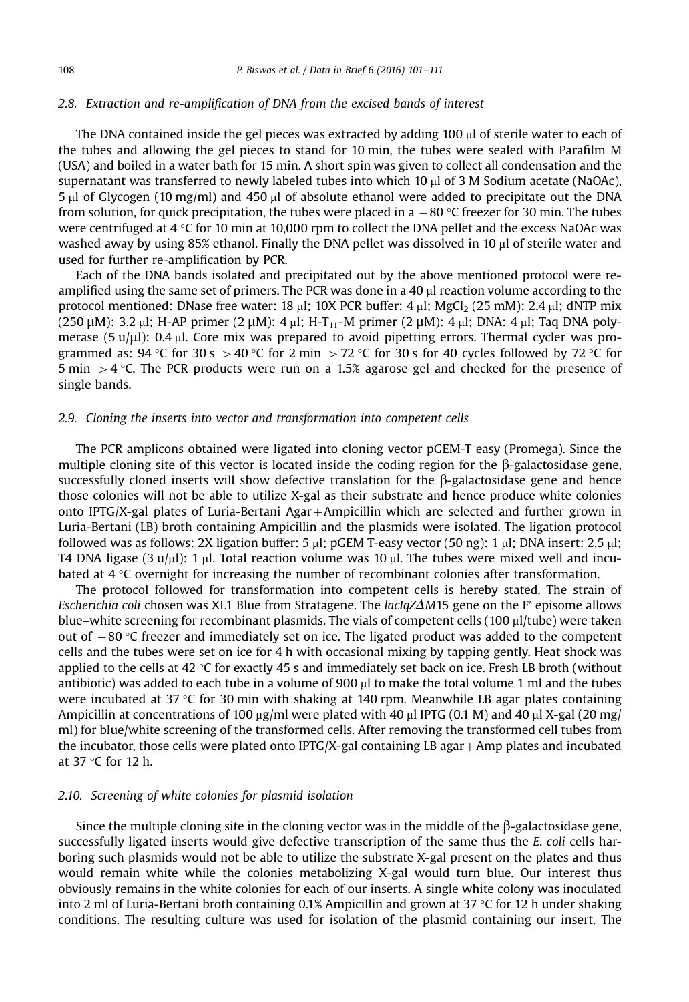#### 2.8. Extraction and re-amplification of DNA from the excised bands of interest

The DNA contained inside the gel pieces was extracted by adding  $100 \mu$  of sterile water to each of the tubes and allowing the gel pieces to stand for 10 min, the tubes were sealed with Parafilm M (USA) and boiled in a water bath for 15 min. A short spin was given to collect all condensation and the supernatant was transferred to newly labeled tubes into which 10  $\mu$ l of 3 M Sodium acetate (NaOAc), 5 ml of Glycogen (10 mg/ml) and 450 ml of absolute ethanol were added to precipitate out the DNA from solution, for quick precipitation, the tubes were placed in a  $-80$  °C freezer for 30 min. The tubes were centrifuged at 4 °C for 10 min at 10,000 rpm to collect the DNA pellet and the excess NaOAc was washed away by using 85% ethanol. Finally the DNA pellet was dissolved in 10  $\mu$ l of sterile water and used for further re-amplification by PCR.

Each of the DNA bands isolated and precipitated out by the above mentioned protocol were reamplified using the same set of primers. The PCR was done in a  $40 \mu$  reaction volume according to the protocol mentioned: DNase free water: 18  $\mu$ l; 10X PCR buffer: 4  $\mu$ l; MgCl<sub>2</sub> (25 mM): 2.4  $\mu$ l; dNTP mix (250 μM): 3.2 μl; H-AP primer (2 μM): 4 μl; H-T<sub>11</sub>-M primer (2 μM): 4 μl; DNA: 4 μl; Taq DNA polymerase (5 u/ $\mu$ l): 0.4  $\mu$ l. Core mix was prepared to avoid pipetting errors. Thermal cycler was programmed as: 94 °C for 30 s  $>$ 40 °C for 2 min  $>$  72 °C for 30 s for 40 cycles followed by 72 °C for 5 min  $>$  4 °C. The PCR products were run on a 1.5% agarose gel and checked for the presence of single bands.

## 2.9. Cloning the inserts into vector and transformation into competent cells

The PCR amplicons obtained were ligated into cloning vector pGEM-T easy (Promega). Since the multiple cloning site of this vector is located inside the coding region for the β-galactosidase gene, successfully cloned inserts will show defective translation for the β-galactosidase gene and hence those colonies will not be able to utilize X-gal as their substrate and hence produce white colonies onto IPTG/X-gal plates of Luria-Bertani Agar + Ampicillin which are selected and further grown in Luria-Bertani (LB) broth containing Ampicillin and the plasmids were isolated. The ligation protocol followed was as follows: 2X ligation buffer: 5  $\mu$ l; pGEM T-easy vector (50 ng): 1  $\mu$ l; DNA insert: 2.5  $\mu$ l; T4 DNA ligase (3 u/ $\mu$ l): 1  $\mu$ l. Total reaction volume was 10  $\mu$ l. The tubes were mixed well and incubated at 4 °C overnight for increasing the number of recombinant colonies after transformation.

The protocol followed for transformation into competent cells is hereby stated. The strain of Escherichia coli chosen was XL1 Blue from Stratagene. The lacIqZ $\Delta M$ 15 gene on the F' episome allows blue–white screening for recombinant plasmids. The vials of competent cells (100  $\mu$ l/tube) were taken out of  $-80$  °C freezer and immediately set on ice. The ligated product was added to the competent cells and the tubes were set on ice for 4 h with occasional mixing by tapping gently. Heat shock was applied to the cells at  $42 \degree C$  for exactly 45 s and immediately set back on ice. Fresh LB broth (without antibiotic) was added to each tube in a volume of 900  $\mu$ l to make the total volume 1 ml and the tubes were incubated at 37 °C for 30 min with shaking at 140 rpm. Meanwhile LB agar plates containing Ampicillin at concentrations of 100  $\mu$ g/ml were plated with 40  $\mu$ l IPTG (0.1 M) and 40  $\mu$ l X-gal (20 mg/ ml) for blue/white screening of the transformed cells. After removing the transformed cell tubes from the incubator, those cells were plated onto  $IPTG/X-gal$  containing LB agar  $+Amp$  plates and incubated at 37 °C for 12 h.

## 2.10. Screening of white colonies for plasmid isolation

Since the multiple cloning site in the cloning vector was in the middle of the β-galactosidase gene, successfully ligated inserts would give defective transcription of the same thus the E. coli cells harboring such plasmids would not be able to utilize the substrate X-gal present on the plates and thus would remain white while the colonies metabolizing X-gal would turn blue. Our interest thus obviously remains in the white colonies for each of our inserts. A single white colony was inoculated into 2 ml of Luria-Bertani broth containing 0.1% Ampicillin and grown at 37 °C for 12 h under shaking conditions. The resulting culture was used for isolation of the plasmid containing our insert. The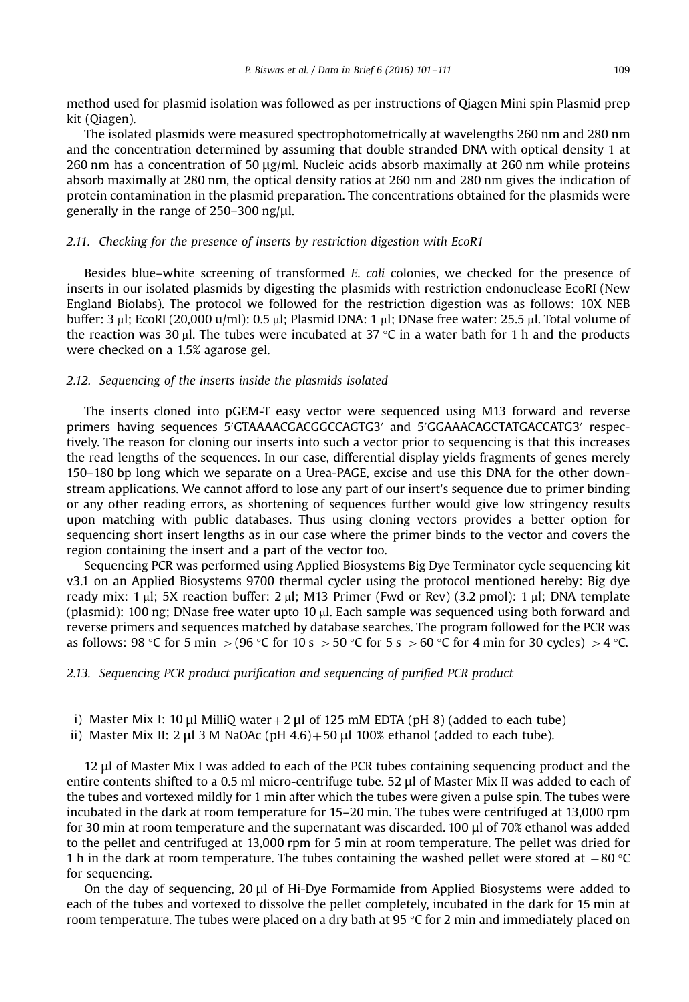method used for plasmid isolation was followed as per instructions of Qiagen Mini spin Plasmid prep kit (Qiagen).

The isolated plasmids were measured spectrophotometrically at wavelengths 260 nm and 280 nm and the concentration determined by assuming that double stranded DNA with optical density 1 at 260 nm has a concentration of 50  $\mu$ g/ml. Nucleic acids absorb maximally at 260 nm while proteins absorb maximally at 280 nm, the optical density ratios at 260 nm and 280 nm gives the indication of protein contamination in the plasmid preparation. The concentrations obtained for the plasmids were generally in the range of 250–300 ng/μl.

# 2.11. Checking for the presence of inserts by restriction digestion with EcoR1

Besides blue–white screening of transformed E. coli colonies, we checked for the presence of inserts in our isolated plasmids by digesting the plasmids with restriction endonuclease EcoRI (New England Biolabs). The protocol we followed for the restriction digestion was as follows: 10X NEB buffer: 3 µl; EcoRI (20,000 u/ml): 0.5 µl; Plasmid DNA: 1 µl; DNase free water: 25.5 µl. Total volume of the reaction was 30 µl. The tubes were incubated at 37 °C in a water bath for 1 h and the products were checked on a 1.5% agarose gel.

## 2.12. Sequencing of the inserts inside the plasmids isolated

The inserts cloned into pGEM-T easy vector were sequenced using M13 forward and reverse primers having sequences 5'GTAAAACGACGGCCAGTG3' and 5'GGAAACAGCTATGACCATG3' respectively. The reason for cloning our inserts into such a vector prior to sequencing is that this increases the read lengths of the sequences. In our case, differential display yields fragments of genes merely 150–180 bp long which we separate on a Urea-PAGE, excise and use this DNA for the other downstream applications. We cannot afford to lose any part of our insert's sequence due to primer binding or any other reading errors, as shortening of sequences further would give low stringency results upon matching with public databases. Thus using cloning vectors provides a better option for sequencing short insert lengths as in our case where the primer binds to the vector and covers the region containing the insert and a part of the vector too.

Sequencing PCR was performed using Applied Biosystems Big Dye Terminator cycle sequencing kit v3.1 on an Applied Biosystems 9700 thermal cycler using the protocol mentioned hereby: Big dye ready mix: 1  $\mu$ l; 5X reaction buffer: 2  $\mu$ l; M13 Primer (Fwd or Rev) (3.2 pmol): 1  $\mu$ l; DNA template (plasmid): 100 ng; DNase free water upto 10  $\mu$ l. Each sample was sequenced using both forward and reverse primers and sequences matched by database searches. The program followed for the PCR was as follows: 98 °C for 5 min  $>$  (96 °C for 10 s  $>$  50 °C for 5 s  $>$  60 °C for 4 min for 30 cycles)  $>$  4 °C.

#### 2.13. Sequencing PCR product purification and sequencing of purified PCR product

- i) Master Mix I: 10 μl MilliQ water + 2 μl of 125 mM EDTA (pH 8) (added to each tube)
- ii) Master Mix II: 2 μl 3 M NaOAc (pH  $4.6$ ) + 50 μl 100% ethanol (added to each tube).

12 μl of Master Mix I was added to each of the PCR tubes containing sequencing product and the entire contents shifted to a 0.5 ml micro-centrifuge tube. 52 μl of Master Mix II was added to each of the tubes and vortexed mildly for 1 min after which the tubes were given a pulse spin. The tubes were incubated in the dark at room temperature for 15–20 min. The tubes were centrifuged at 13,000 rpm for 30 min at room temperature and the supernatant was discarded. 100 μl of 70% ethanol was added to the pellet and centrifuged at 13,000 rpm for 5 min at room temperature. The pellet was dried for 1 h in the dark at room temperature. The tubes containing the washed pellet were stored at  $-80$  °C for sequencing.

On the day of sequencing, 20 μl of Hi-Dye Formamide from Applied Biosystems were added to each of the tubes and vortexed to dissolve the pellet completely, incubated in the dark for 15 min at room temperature. The tubes were placed on a dry bath at 95  $\degree$ C for 2 min and immediately placed on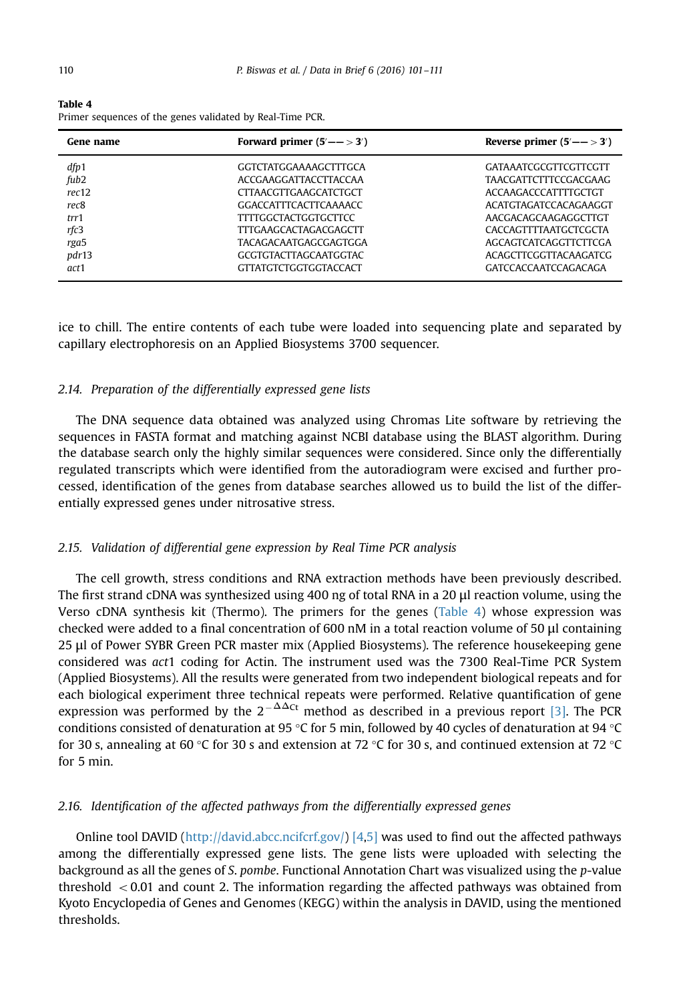Table 4 Primer sequences of the genes validated by Real-Time PCR.

| Gene name        | Forward primer $(5' \rightarrow - 3')$ | Reverse primer $(5' \rightarrow 3')$ |
|------------------|----------------------------------------|--------------------------------------|
| dfp1             | GGTCTATGGAAAAGCTTTGCA                  | <b>GATAAATCGCGTTCGTTCGTT</b>         |
| fub <sub>2</sub> | ACCGAAGGATTACCTTACCAA                  | <b>TAACGATTCTTTCCGACGAAG</b>         |
| rec12            | <b>CITAACGITGAAGCATCTGCT</b>           | ACCAAGACCCATTTTGCTGT                 |
| rec8             | GGACCATTTCACTTCAAAACC                  | ACATGTAGATCCACAGAAGGT                |
| trr1             | <b>TTTTGGCTACTGGTGCTTCC</b>            | AACGACAGCAAGAGGCTTGT                 |
| rfc3             | <b>TTTGAAGCACTAGACGAGCTT</b>           | CACCAGTTTTAATGCTCGCTA                |
| rga5             | TACAGACAATGAGCGAGTGGA                  | AGCAGTCATCAGGTTCTTCGA                |
| pdr13            | <b>GCGTGTACTTAGCAATGGTAC</b>           | <b>ACAGCTTCGGTTACAAGATCG</b>         |
| act <sub>1</sub> | <b>GTTATGTCTGGTGGTACCACT</b>           | GATCCACCAATCCAGACAGA                 |

ice to chill. The entire contents of each tube were loaded into sequencing plate and separated by capillary electrophoresis on an Applied Biosystems 3700 sequencer.

# 2.14. Preparation of the differentially expressed gene lists

The DNA sequence data obtained was analyzed using Chromas Lite software by retrieving the sequences in FASTA format and matching against NCBI database using the BLAST algorithm. During the database search only the highly similar sequences were considered. Since only the differentially regulated transcripts which were identified from the autoradiogram were excised and further processed, identification of the genes from database searches allowed us to build the list of the differentially expressed genes under nitrosative stress.

# 2.15. Validation of differential gene expression by Real Time PCR analysis

The cell growth, stress conditions and RNA extraction methods have been previously described. The first strand cDNA was synthesized using 400 ng of total RNA in a 20 μl reaction volume, using the Verso cDNA synthesis kit (Thermo). The primers for the genes (Table 4) whose expression was checked were added to a final concentration of 600 nM in a total reaction volume of 50 μl containing 25 μl of Power SYBR Green PCR master mix (Applied Biosystems). The reference housekeeping gene considered was act1 coding for Actin. The instrument used was the 7300 Real-Time PCR System (Applied Biosystems). All the results were generated from two independent biological repeats and for each biological experiment three technical repeats were performed. Relative quantification of gene expression was performed by the  $2^{-\Delta\Delta ct}$  method as described in a previous report [\[3\]](#page-10-0). The PCR conditions consisted of denaturation at 95 °C for 5 min, followed by 40 cycles of denaturation at 94 °C for 30 s, annealing at 60 °C for 30 s and extension at 72 °C for 30 s, and continued extension at 72 °C for 5 min.

# 2.16. Identification of the affected pathways from the differentially expressed genes

Online tool DAVID ([http://david.abcc.ncifcrf.gov/\)](http://www.david.abcc.ncifcrf.gov/) [\[4](#page-10-0),[5\]](#page-10-0) was used to find out the affected pathways among the differentially expressed gene lists. The gene lists were uploaded with selecting the background as all the genes of S. pombe. Functional Annotation Chart was visualized using the p-value threshold  $\lt$  0.01 and count 2. The information regarding the affected pathways was obtained from Kyoto Encyclopedia of Genes and Genomes (KEGG) within the analysis in DAVID, using the mentioned thresholds.